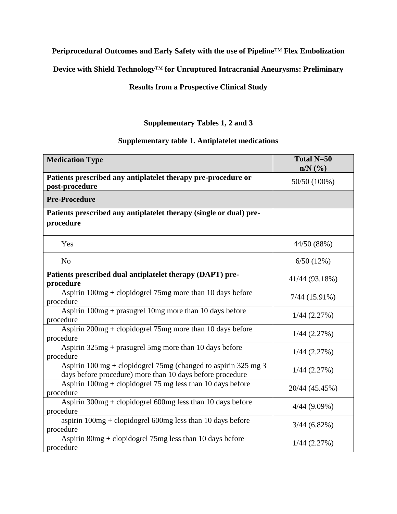## **Periprocedural Outcomes and Early Safety with the use of Pipeline**™ **Flex Embolization**

**Device with Shield Technology**™ **for Unruptured Intracranial Aneurysms: Preliminary**

## **Results from a Prospective Clinical Study**

## **Supplementary Tables 1, 2 and 3**

## **Supplementary table 1. Antiplatelet medications**

| <b>Medication Type</b>                                                                                                      | Total N=50<br>$n/N$ (%) |
|-----------------------------------------------------------------------------------------------------------------------------|-------------------------|
| Patients prescribed any antiplatelet therapy pre-procedure or<br>post-procedure                                             | 50/50 (100%)            |
| <b>Pre-Procedure</b>                                                                                                        |                         |
| Patients prescribed any antiplatelet therapy (single or dual) pre-<br>procedure                                             |                         |
| Yes                                                                                                                         | 44/50 (88%)             |
| N <sub>o</sub>                                                                                                              | 6/50(12%)               |
| Patients prescribed dual antiplatelet therapy (DAPT) pre-<br>procedure                                                      | 41/44 (93.18%)          |
| Aspirin $100mg +$ clopidogrel 75mg more than 10 days before<br>procedure                                                    | $7/44$ (15.91%)         |
| Aspirin $100mg$ + prasugrel 10mg more than 10 days before<br>procedure                                                      | $1/44$ $(2.27\%)$       |
| Aspirin 200mg + clopidogrel 75mg more than 10 days before<br>procedure                                                      | $1/44$ $(2.27\%)$       |
| Aspirin $325mg$ + prasugrel 5mg more than 10 days before<br>procedure                                                       | $1/44$ $(2.27%)$        |
| Aspirin 100 mg + clopidogrel 75mg (changed to aspirin 325 mg 3<br>days before procedure) more than 10 days before procedure | $1/44$ $(2.27\%)$       |
| Aspirin $100mg +$ clopidogrel 75 mg less than 10 days before<br>procedure                                                   | 20/44 (45.45%)          |
| Aspirin $300mg +$ clopidogrel 600mg less than 10 days before<br>procedure                                                   | $4/44$ (9.09%)          |
| aspirin $100mg +$ clopidogrel 600mg less than 10 days before<br>procedure                                                   | $3/44(6.82\%)$          |
| Aspirin 80mg + clopidogrel 75mg less than 10 days before<br>procedure                                                       | $1/44$ $(2.27\%)$       |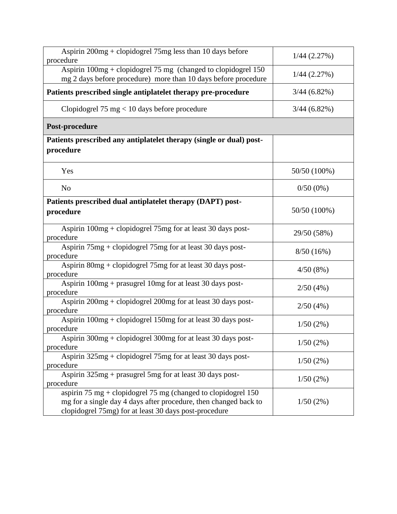| Aspirin 200mg + clopidogrel 75mg less than 10 days before<br>procedure                                                                                                                       | $1/44$ $(2.27%)$ |  |  |
|----------------------------------------------------------------------------------------------------------------------------------------------------------------------------------------------|------------------|--|--|
| Aspirin $100mg +$ clopidogrel 75 mg (changed to clopidogrel 150<br>mg 2 days before procedure) more than 10 days before procedure                                                            | $1/44$ $(2.27%)$ |  |  |
| Patients prescribed single antiplatelet therapy pre-procedure                                                                                                                                | $3/44(6.82\%)$   |  |  |
| Clopidogrel 75 mg $<$ 10 days before procedure                                                                                                                                               | $3/44(6.82\%)$   |  |  |
| Post-procedure                                                                                                                                                                               |                  |  |  |
| Patients prescribed any antiplatelet therapy (single or dual) post-<br>procedure                                                                                                             |                  |  |  |
| Yes                                                                                                                                                                                          | 50/50 (100%)     |  |  |
| N <sub>o</sub>                                                                                                                                                                               | $0/50(0\%)$      |  |  |
| Patients prescribed dual antiplatelet therapy (DAPT) post-<br>procedure                                                                                                                      | 50/50 (100%)     |  |  |
| Aspirin 100mg + clopidogrel 75mg for at least 30 days post-<br>procedure                                                                                                                     | 29/50 (58%)      |  |  |
| Aspirin 75mg + clopidogrel 75mg for at least 30 days post-<br>procedure                                                                                                                      | 8/50(16%)        |  |  |
| Aspirin 80mg + clopidogrel 75mg for at least 30 days post-<br>procedure                                                                                                                      | 4/50(8%)         |  |  |
| Aspirin 100mg + prasugrel 10mg for at least 30 days post-<br>procedure                                                                                                                       | 2/50(4%)         |  |  |
| Aspirin $200mg$ + clopidogrel $200mg$ for at least 30 days post-<br>procedure                                                                                                                | 2/50(4%)         |  |  |
| Aspirin 100mg + clopidogrel 150mg for at least 30 days post-<br>procedure                                                                                                                    | 1/50(2%)         |  |  |
| Aspirin 300mg + clopidogrel 300mg for at least 30 days post-<br>procedure                                                                                                                    | 1/50(2%)         |  |  |
| Aspirin $325mg +$ clopidogrel 75mg for at least 30 days post-<br>procedure                                                                                                                   | 1/50(2%)         |  |  |
| Aspirin 325mg + prasugrel 5mg for at least 30 days post-<br>procedure                                                                                                                        | 1/50(2%)         |  |  |
| aspirin 75 mg + clopidogrel 75 mg (changed to clopidogrel $150$<br>mg for a single day 4 days after procedure, then changed back to<br>clopidogrel 75mg) for at least 30 days post-procedure | 1/50(2%)         |  |  |